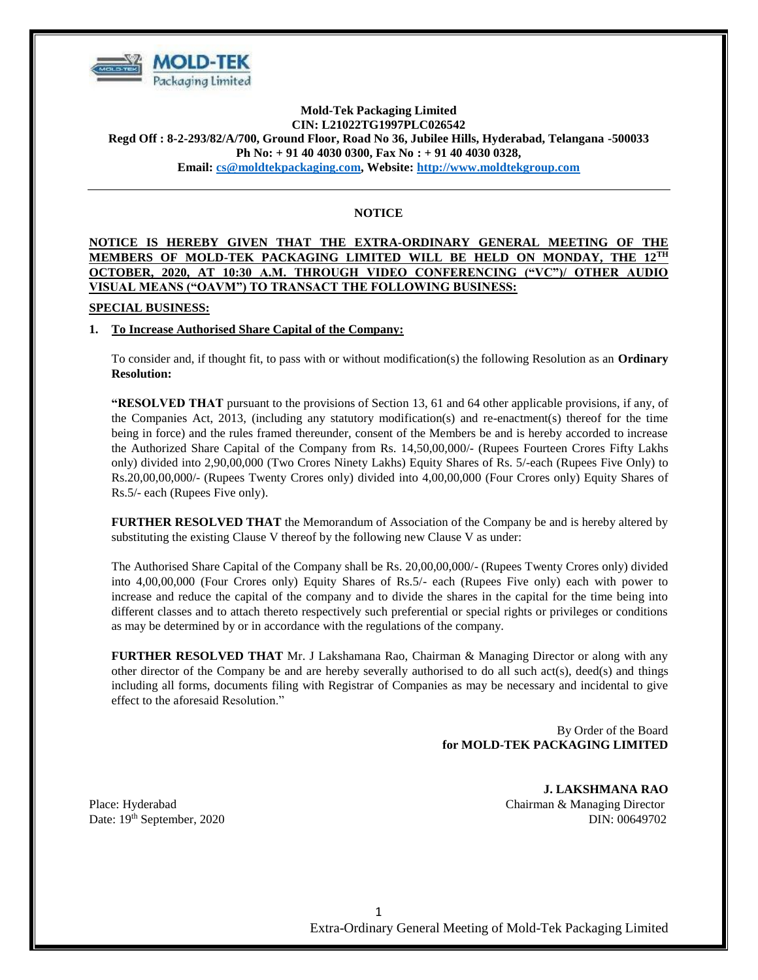

# **Mold-Tek Packaging Limited CIN: L21022TG1997PLC026542 Regd Off : 8-2-293/82/A/700, Ground Floor, Road No 36, Jubilee Hills, Hyderabad, Telangana -500033 Ph No: + 91 40 4030 0300, Fax No : + 91 40 4030 0328, Email: [cs@moldtekpackaging.com,](mailto:cs@moldtekpackaging.com) Website: [http://www.moldtekgroup.com](http://www.moldtekgroup.com/)**

# **NOTICE**

# **NOTICE IS HEREBY GIVEN THAT THE EXTRA-ORDINARY GENERAL MEETING OF THE MEMBERS OF MOLD-TEK PACKAGING LIMITED WILL BE HELD ON MONDAY, THE 12TH OCTOBER, 2020, AT 10:30 A.M. THROUGH VIDEO CONFERENCING ("VC")/ OTHER AUDIO VISUAL MEANS ("OAVM") TO TRANSACT THE FOLLOWING BUSINESS:**

## **SPECIAL BUSINESS:**

## **1. To Increase Authorised Share Capital of the Company:**

To consider and, if thought fit, to pass with or without modification(s) the following Resolution as an **Ordinary Resolution:**

**"RESOLVED THAT** pursuant to the provisions of Section 13, 61 and 64 other applicable provisions, if any, of the Companies Act, 2013, (including any statutory modification(s) and re-enactment(s) thereof for the time being in force) and the rules framed thereunder, consent of the Members be and is hereby accorded to increase the Authorized Share Capital of the Company from Rs. 14,50,00,000/- (Rupees Fourteen Crores Fifty Lakhs only) divided into 2,90,00,000 (Two Crores Ninety Lakhs) Equity Shares of Rs. 5/-each (Rupees Five Only) to Rs.20,00,00,000/- (Rupees Twenty Crores only) divided into 4,00,00,000 (Four Crores only) Equity Shares of Rs.5/- each (Rupees Five only).

**FURTHER RESOLVED THAT** the Memorandum of Association of the Company be and is hereby altered by substituting the existing Clause V thereof by the following new Clause V as under:

The Authorised Share Capital of the Company shall be Rs. 20,00,00,000/- (Rupees Twenty Crores only) divided into 4,00,00,000 (Four Crores only) Equity Shares of Rs.5/- each (Rupees Five only) each with power to increase and reduce the capital of the company and to divide the shares in the capital for the time being into different classes and to attach thereto respectively such preferential or special rights or privileges or conditions as may be determined by or in accordance with the regulations of the company.

**FURTHER RESOLVED THAT** Mr. J Lakshamana Rao, Chairman & Managing Director or along with any other director of the Company be and are hereby severally authorised to do all such act(s), deed(s) and things including all forms, documents filing with Registrar of Companies as may be necessary and incidental to give effect to the aforesaid Resolution."

> By Order of the Board **for MOLD-TEK PACKAGING LIMITED**

**J. LAKSHMANA RAO** Place: Hyderabad Chairman & Managing Director Date: 19th September, 2020 DIN: 00649702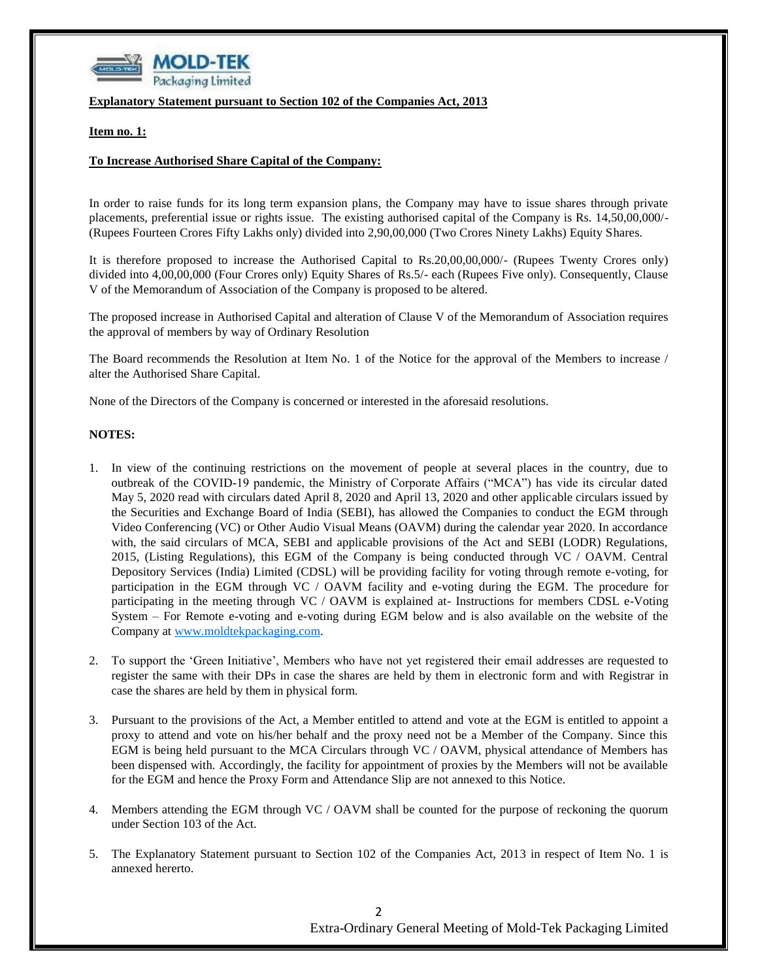

**Explanatory Statement pursuant to Section 102 of the Companies Act, 2013**

**Item no. 1:** 

#### **To Increase Authorised Share Capital of the Company:**

In order to raise funds for its long term expansion plans, the Company may have to issue shares through private placements, preferential issue or rights issue. The existing authorised capital of the Company is Rs. 14,50,00,000/- (Rupees Fourteen Crores Fifty Lakhs only) divided into 2,90,00,000 (Two Crores Ninety Lakhs) Equity Shares.

It is therefore proposed to increase the Authorised Capital to Rs.20,00,00,000/- (Rupees Twenty Crores only) divided into 4,00,00,000 (Four Crores only) Equity Shares of Rs.5/- each (Rupees Five only). Consequently, Clause V of the Memorandum of Association of the Company is proposed to be altered.

The proposed increase in Authorised Capital and alteration of Clause V of the Memorandum of Association requires the approval of members by way of Ordinary Resolution

The Board recommends the Resolution at Item No. 1 of the Notice for the approval of the Members to increase / alter the Authorised Share Capital.

None of the Directors of the Company is concerned or interested in the aforesaid resolutions.

#### **NOTES:**

- 1. In view of the continuing restrictions on the movement of people at several places in the country, due to outbreak of the COVID-19 pandemic, the Ministry of Corporate Affairs ("MCA") has vide its circular dated May 5, 2020 read with circulars dated April 8, 2020 and April 13, 2020 and other applicable circulars issued by the Securities and Exchange Board of India (SEBI), has allowed the Companies to conduct the EGM through Video Conferencing (VC) or Other Audio Visual Means (OAVM) during the calendar year 2020. In accordance with, the said circulars of MCA, SEBI and applicable provisions of the Act and SEBI (LODR) Regulations, 2015, (Listing Regulations), this EGM of the Company is being conducted through VC / OAVM. Central Depository Services (India) Limited (CDSL) will be providing facility for voting through remote e-voting, for participation in the EGM through VC / OAVM facility and e-voting during the EGM. The procedure for participating in the meeting through VC / OAVM is explained at- Instructions for members CDSL e-Voting System – For Remote e-voting and e-voting during EGM below and is also available on the website of the Company at [www.moldtekpackaging.com.](http://www.moldtekpackaging.com/)
- 2. To support the 'Green Initiative', Members who have not yet registered their email addresses are requested to register the same with their DPs in case the shares are held by them in electronic form and with Registrar in case the shares are held by them in physical form.
- 3. Pursuant to the provisions of the Act, a Member entitled to attend and vote at the EGM is entitled to appoint a proxy to attend and vote on his/her behalf and the proxy need not be a Member of the Company. Since this EGM is being held pursuant to the MCA Circulars through VC / OAVM, physical attendance of Members has been dispensed with. Accordingly, the facility for appointment of proxies by the Members will not be available for the EGM and hence the Proxy Form and Attendance Slip are not annexed to this Notice.
- 4. Members attending the EGM through VC / OAVM shall be counted for the purpose of reckoning the quorum under Section 103 of the Act.
- 5. The Explanatory Statement pursuant to Section 102 of the Companies Act, 2013 in respect of Item No. 1 is annexed hererto.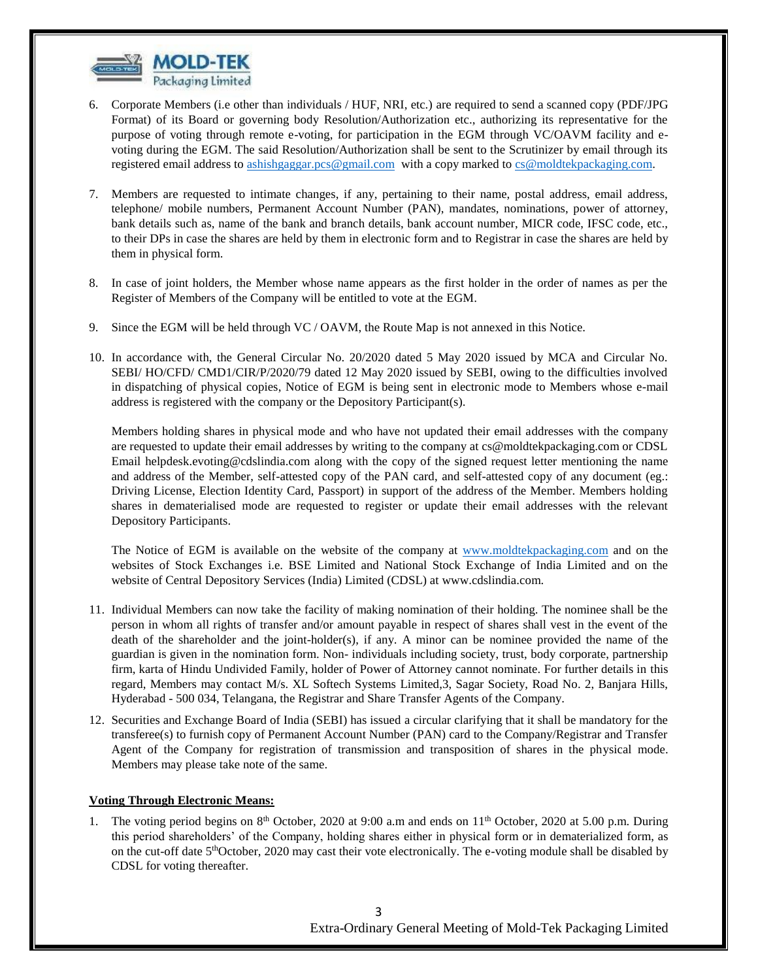

- 6. Corporate Members (i.e other than individuals / HUF, NRI, etc.) are required to send a scanned copy (PDF/JPG Format) of its Board or governing body Resolution/Authorization etc., authorizing its representative for the purpose of voting through remote e-voting, for participation in the EGM through VC/OAVM facility and evoting during the EGM. The said Resolution/Authorization shall be sent to the Scrutinizer by email through its registered email address to [ashishgaggar.pcs@gmail.com](mailto:ashishgaggar.pcs@gmail.com) with a copy marked to [cs@moldtekpackaging.com.](mailto:cs@moldtekpackaging.com)
- 7. Members are requested to intimate changes, if any, pertaining to their name, postal address, email address, telephone/ mobile numbers, Permanent Account Number (PAN), mandates, nominations, power of attorney, bank details such as, name of the bank and branch details, bank account number, MICR code, IFSC code, etc., to their DPs in case the shares are held by them in electronic form and to Registrar in case the shares are held by them in physical form.
- 8. In case of joint holders, the Member whose name appears as the first holder in the order of names as per the Register of Members of the Company will be entitled to vote at the EGM.
- 9. Since the EGM will be held through VC / OAVM, the Route Map is not annexed in this Notice.
- 10. In accordance with, the General Circular No. 20/2020 dated 5 May 2020 issued by MCA and Circular No. SEBI/ HO/CFD/ CMD1/CIR/P/2020/79 dated 12 May 2020 issued by SEBI, owing to the difficulties involved in dispatching of physical copies, Notice of EGM is being sent in electronic mode to Members whose e-mail address is registered with the company or the Depository Participant(s).

Members holding shares in physical mode and who have not updated their email addresses with the company are requested to update their email addresses by writing to the company at cs@moldtekpackaging.com or CDSL Email [helpdesk.evoting@cdslindia.com](mailto:helpdesk.evoting@cdslindia.com) along with the copy of the signed request letter mentioning the name and address of the Member, self-attested copy of the PAN card, and self-attested copy of any document (eg.: Driving License, Election Identity Card, Passport) in support of the address of the Member. Members holding shares in dematerialised mode are requested to register or update their email addresses with the relevant Depository Participants.

The Notice of EGM is available on the website of the company at [www.moldtekpackaging.com](http://www.moldtekpackaging.com/) and on the websites of Stock Exchanges i.e. BSE Limited and National Stock Exchange of India Limited and on the website of Central Depository Services (India) Limited (CDSL) at www.cdslindia.com.

- 11. Individual Members can now take the facility of making nomination of their holding. The nominee shall be the person in whom all rights of transfer and/or amount payable in respect of shares shall vest in the event of the death of the shareholder and the joint-holder(s), if any. A minor can be nominee provided the name of the guardian is given in the nomination form. Non- individuals including society, trust, body corporate, partnership firm, karta of Hindu Undivided Family, holder of Power of Attorney cannot nominate. For further details in this regard, Members may contact M/s. XL Softech Systems Limited,3, Sagar Society, Road No. 2, Banjara Hills, Hyderabad - 500 034, Telangana, the Registrar and Share Transfer Agents of the Company.
- 12. Securities and Exchange Board of India (SEBI) has issued a circular clarifying that it shall be mandatory for the transferee(s) to furnish copy of Permanent Account Number (PAN) card to the Company/Registrar and Transfer Agent of the Company for registration of transmission and transposition of shares in the physical mode. Members may please take note of the same.

## **Voting Through Electronic Means:**

1. The voting period begins on 8<sup>th</sup> October, 2020 at 9:00 a.m and ends on 11<sup>th</sup> October, 2020 at 5.00 p.m. During this period shareholders' of the Company, holding shares either in physical form or in dematerialized form, as on the cut-off date 5<sup>th</sup>October, 2020 may cast their vote electronically. The e-voting module shall be disabled by CDSL for voting thereafter.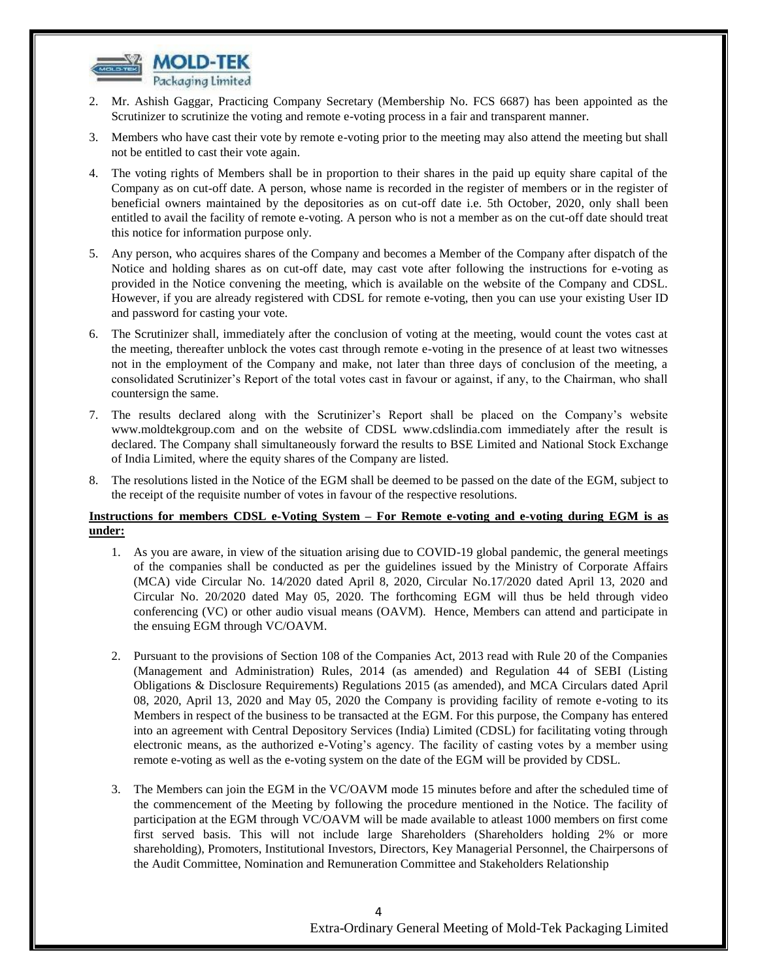

- 2. Mr. Ashish Gaggar, Practicing Company Secretary (Membership No. FCS 6687) has been appointed as the Scrutinizer to scrutinize the voting and remote e-voting process in a fair and transparent manner.
- 3. Members who have cast their vote by remote e-voting prior to the meeting may also attend the meeting but shall not be entitled to cast their vote again.
- 4. The voting rights of Members shall be in proportion to their shares in the paid up equity share capital of the Company as on cut-off date. A person, whose name is recorded in the register of members or in the register of beneficial owners maintained by the depositories as on cut-off date i.e. 5th October, 2020, only shall been entitled to avail the facility of remote e-voting. A person who is not a member as on the cut-off date should treat this notice for information purpose only.
- 5. Any person, who acquires shares of the Company and becomes a Member of the Company after dispatch of the Notice and holding shares as on cut-off date, may cast vote after following the instructions for e-voting as provided in the Notice convening the meeting, which is available on the website of the Company and CDSL. However, if you are already registered with CDSL for remote e-voting, then you can use your existing User ID and password for casting your vote.
- 6. The Scrutinizer shall, immediately after the conclusion of voting at the meeting, would count the votes cast at the meeting, thereafter unblock the votes cast through remote e-voting in the presence of at least two witnesses not in the employment of the Company and make, not later than three days of conclusion of the meeting, a consolidated Scrutinizer's Report of the total votes cast in favour or against, if any, to the Chairman, who shall countersign the same.
- 7. The results declared along with the Scrutinizer's Report shall be placed on the Company's website www.moldtekgroup.com and on the website of CDSL www.cdslindia.com immediately after the result is declared. The Company shall simultaneously forward the results to BSE Limited and National Stock Exchange of India Limited, where the equity shares of the Company are listed.
- 8. The resolutions listed in the Notice of the EGM shall be deemed to be passed on the date of the EGM, subject to the receipt of the requisite number of votes in favour of the respective resolutions.

# **Instructions for members CDSL e-Voting System – For Remote e-voting and e-voting during EGM is as under:**

- 1. As you are aware, in view of the situation arising due to COVID-19 global pandemic, the general meetings of the companies shall be conducted as per the guidelines issued by the Ministry of Corporate Affairs (MCA) vide Circular No. 14/2020 dated April 8, 2020, Circular No.17/2020 dated April 13, 2020 and Circular No. 20/2020 dated May 05, 2020. The forthcoming EGM will thus be held through video conferencing (VC) or other audio visual means (OAVM). Hence, Members can attend and participate in the ensuing EGM through VC/OAVM.
- 2. Pursuant to the provisions of Section 108 of the Companies Act, 2013 read with Rule 20 of the Companies (Management and Administration) Rules, 2014 (as amended) and Regulation 44 of SEBI (Listing Obligations & Disclosure Requirements) Regulations 2015 (as amended), and MCA Circulars dated April 08, 2020, April 13, 2020 and May 05, 2020 the Company is providing facility of remote e-voting to its Members in respect of the business to be transacted at the EGM. For this purpose, the Company has entered into an agreement with Central Depository Services (India) Limited (CDSL) for facilitating voting through electronic means, as the authorized e-Voting's agency. The facility of casting votes by a member using remote e-voting as well as the e-voting system on the date of the EGM will be provided by CDSL.
- 3. The Members can join the EGM in the VC/OAVM mode 15 minutes before and after the scheduled time of the commencement of the Meeting by following the procedure mentioned in the Notice. The facility of participation at the EGM through VC/OAVM will be made available to atleast 1000 members on first come first served basis. This will not include large Shareholders (Shareholders holding 2% or more shareholding), Promoters, Institutional Investors, Directors, Key Managerial Personnel, the Chairpersons of the Audit Committee, Nomination and Remuneration Committee and Stakeholders Relationship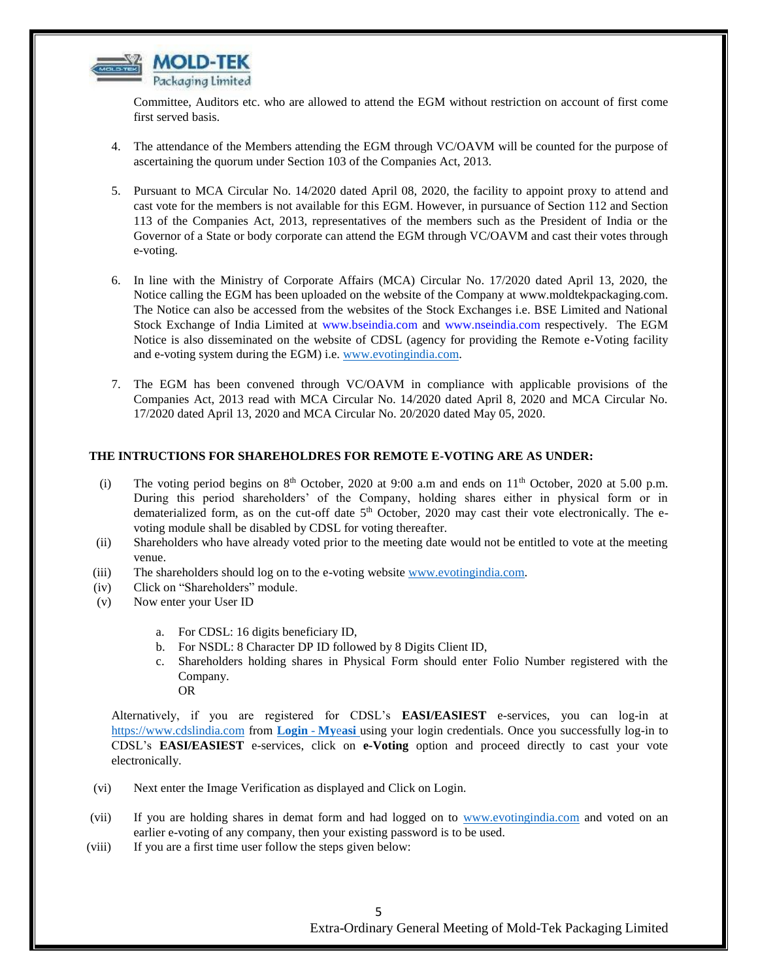

Committee, Auditors etc. who are allowed to attend the EGM without restriction on account of first come first served basis.

- 4. The attendance of the Members attending the EGM through VC/OAVM will be counted for the purpose of ascertaining the quorum under Section 103 of the Companies Act, 2013.
- 5. Pursuant to MCA Circular No. 14/2020 dated April 08, 2020, the facility to appoint proxy to attend and cast vote for the members is not available for this EGM. However, in pursuance of Section 112 and Section 113 of the Companies Act, 2013, representatives of the members such as the President of India or the Governor of a State or body corporate can attend the EGM through VC/OAVM and cast their votes through e-voting.
- 6. In line with the Ministry of Corporate Affairs (MCA) Circular No. 17/2020 dated April 13, 2020, the Notice calling the EGM has been uploaded on the website of the Company at [www.moldtekpackaging.com.](http://www.moldtekpackaging.com/) The Notice can also be accessed from the websites of the Stock Exchanges i.e. BSE Limited and National Stock Exchange of India Limited at www.bseindia.com and www.nseindia.com respectively. The EGM Notice is also disseminated on the website of CDSL (agency for providing the Remote e-Voting facility and e-voting system during the EGM) i.e. [www.evotingindia.com.](http://www.evotingindia.com/)
- 7. The EGM has been convened through VC/OAVM in compliance with applicable provisions of the Companies Act, 2013 read with MCA Circular No. 14/2020 dated April 8, 2020 and MCA Circular No. 17/2020 dated April 13, 2020 and MCA Circular No. 20/2020 dated May 05, 2020.

#### **THE INTRUCTIONS FOR SHAREHOLDRES FOR REMOTE E-VOTING ARE AS UNDER:**

- (i) The voting period begins on  $8<sup>th</sup>$  October, 2020 at 9:00 a.m and ends on  $11<sup>th</sup>$  October, 2020 at 5.00 p.m. During this period shareholders' of the Company, holding shares either in physical form or in dematerialized form, as on the cut-off date 5<sup>th</sup> October, 2020 may cast their vote electronically. The evoting module shall be disabled by CDSL for voting thereafter.
- (ii) Shareholders who have already voted prior to the meeting date would not be entitled to vote at the meeting venue.
- (iii) The shareholders should log on to the e-voting website [www.evotingindia.com.](http://www.evotingindia.com/)
- (iv) Click on "Shareholders" module.
- (v) Now enter your User ID
	- a. For CDSL: 16 digits beneficiary ID,
	- b. For NSDL: 8 Character DP ID followed by 8 Digits Client ID,
	- c. Shareholders holding shares in Physical Form should enter Folio Number registered with the Company. OR

Alternatively, if you are registered for CDSL's **EASI/EASIEST** e-services, you can log-in at [https://www.cdslindia.com](https://www.cdslindia.com/) from **[Login](Login - Myeasi)** - **My**e**asi** using your login credentials. Once you successfully log-in to CDSL's **EASI/EASIEST** e-services, click on **e-Voting** option and proceed directly to cast your vote electronically.

- (vi) Next enter the Image Verification as displayed and Click on Login.
- (vii) If you are holding shares in demat form and had logged on to [www.evotingindia.com](http://www.evotingindia.com/) and voted on an earlier e-voting of any company, then your existing password is to be used.
- (viii) If you are a first time user follow the steps given below:

5 Extra-Ordinary General Meeting of Mold-Tek Packaging Limited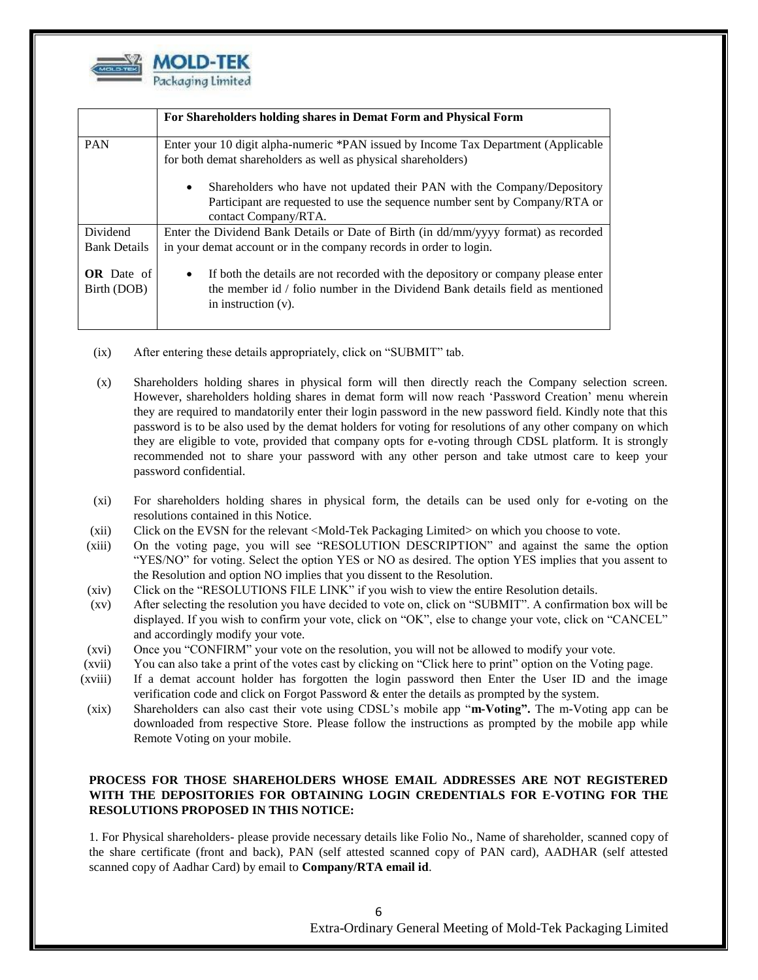

|                                  | For Shareholders holding shares in Demat Form and Physical Form                                                                                                                                         |
|----------------------------------|---------------------------------------------------------------------------------------------------------------------------------------------------------------------------------------------------------|
| <b>PAN</b>                       | Enter your 10 digit alpha-numeric *PAN issued by Income Tax Department (Applicable<br>for both demat shareholders as well as physical shareholders)                                                     |
|                                  | Shareholders who have not updated their PAN with the Company/Depository<br>$\bullet$<br>Participant are requested to use the sequence number sent by Company/RTA or<br>contact Company/RTA.             |
| Dividend<br><b>Bank Details</b>  | Enter the Dividend Bank Details or Date of Birth (in dd/mm/yyyy format) as recorded<br>in your demat account or in the company records in order to login.                                               |
| <b>OR</b> Date of<br>Birth (DOB) | If both the details are not recorded with the depository or company please enter<br>$\bullet$<br>the member id / folio number in the Dividend Bank details field as mentioned<br>in instruction $(v)$ . |

- (ix) After entering these details appropriately, click on "SUBMIT" tab.
- (x) Shareholders holding shares in physical form will then directly reach the Company selection screen. However, shareholders holding shares in demat form will now reach 'Password Creation' menu wherein they are required to mandatorily enter their login password in the new password field. Kindly note that this password is to be also used by the demat holders for voting for resolutions of any other company on which they are eligible to vote, provided that company opts for e-voting through CDSL platform. It is strongly recommended not to share your password with any other person and take utmost care to keep your password confidential.
- (xi) For shareholders holding shares in physical form, the details can be used only for e-voting on the resolutions contained in this Notice.
- (xii) Click on the EVSN for the relevant <Mold-Tek Packaging Limited> on which you choose to vote.
- (xiii) On the voting page, you will see "RESOLUTION DESCRIPTION" and against the same the option "YES/NO" for voting. Select the option YES or NO as desired. The option YES implies that you assent to the Resolution and option NO implies that you dissent to the Resolution.
- (xiv) Click on the "RESOLUTIONS FILE LINK" if you wish to view the entire Resolution details.
- (xv) After selecting the resolution you have decided to vote on, click on "SUBMIT". A confirmation box will be displayed. If you wish to confirm your vote, click on "OK", else to change your vote, click on "CANCEL" and accordingly modify your vote.
- (xvi) Once you "CONFIRM" your vote on the resolution, you will not be allowed to modify your vote.
- (xvii) You can also take a print of the votes cast by clicking on "Click here to print" option on the Voting page.
- (xviii) If a demat account holder has forgotten the login password then Enter the User ID and the image verification code and click on Forgot Password & enter the details as prompted by the system.
- (xix) Shareholders can also cast their vote using CDSL's mobile app "**m-Voting".** The m-Voting app can be downloaded from respective Store. Please follow the instructions as prompted by the mobile app while Remote Voting on your mobile.

# **PROCESS FOR THOSE SHAREHOLDERS WHOSE EMAIL ADDRESSES ARE NOT REGISTERED WITH THE DEPOSITORIES FOR OBTAINING LOGIN CREDENTIALS FOR E-VOTING FOR THE RESOLUTIONS PROPOSED IN THIS NOTICE:**

1. For Physical shareholders- please provide necessary details like Folio No., Name of shareholder, scanned copy of the share certificate (front and back), PAN (self attested scanned copy of PAN card), AADHAR (self attested scanned copy of Aadhar Card) by email to **Company/RTA email id**.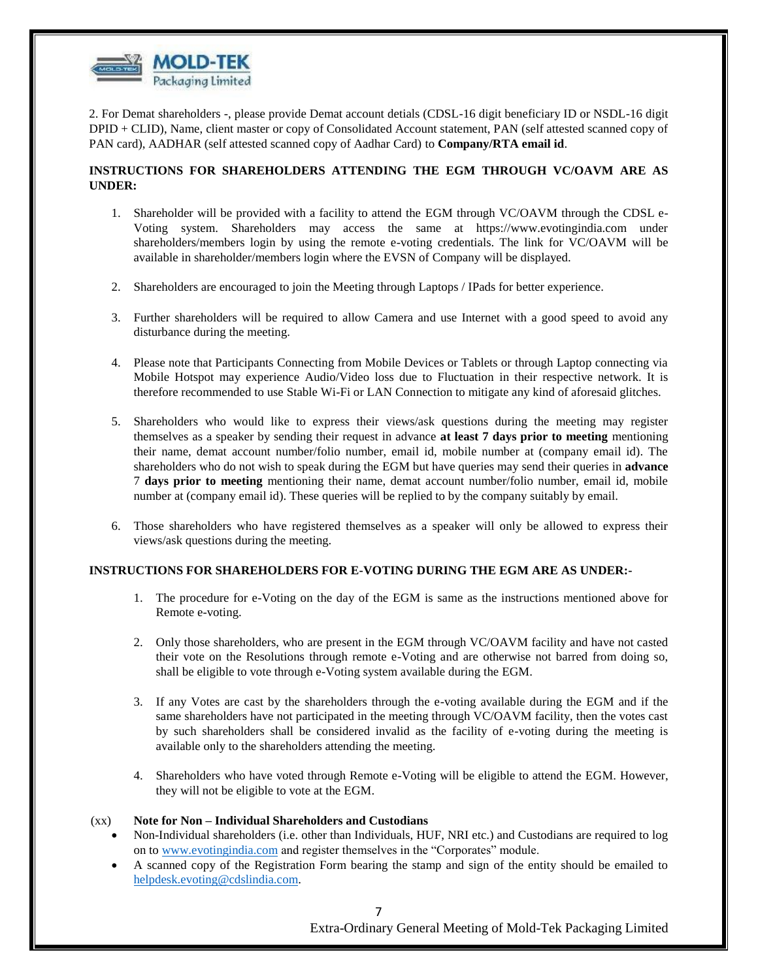

2. For Demat shareholders -, please provide Demat account detials (CDSL-16 digit beneficiary ID or NSDL-16 digit DPID + CLID), Name, client master or copy of Consolidated Account statement, PAN (self attested scanned copy of PAN card), AADHAR (self attested scanned copy of Aadhar Card) to **Company/RTA email id**.

#### **INSTRUCTIONS FOR SHAREHOLDERS ATTENDING THE EGM THROUGH VC/OAVM ARE AS UNDER:**

- 1. Shareholder will be provided with a facility to attend the EGM through VC/OAVM through the CDSL e-Voting system. Shareholders may access the same at https://www.evotingindia.com under shareholders/members login by using the remote e-voting credentials. The link for VC/OAVM will be available in shareholder/members login where the EVSN of Company will be displayed.
- 2. Shareholders are encouraged to join the Meeting through Laptops / IPads for better experience.
- 3. Further shareholders will be required to allow Camera and use Internet with a good speed to avoid any disturbance during the meeting.
- 4. Please note that Participants Connecting from Mobile Devices or Tablets or through Laptop connecting via Mobile Hotspot may experience Audio/Video loss due to Fluctuation in their respective network. It is therefore recommended to use Stable Wi-Fi or LAN Connection to mitigate any kind of aforesaid glitches.
- 5. Shareholders who would like to express their views/ask questions during the meeting may register themselves as a speaker by sending their request in advance **at least 7 days prior to meeting** mentioning their name, demat account number/folio number, email id, mobile number at (company email id). The shareholders who do not wish to speak during the EGM but have queries may send their queries in **advance** 7 **days prior to meeting** mentioning their name, demat account number/folio number, email id, mobile number at (company email id). These queries will be replied to by the company suitably by email.
- 6. Those shareholders who have registered themselves as a speaker will only be allowed to express their views/ask questions during the meeting.

## **INSTRUCTIONS FOR SHAREHOLDERS FOR E-VOTING DURING THE EGM ARE AS UNDER:-**

- 1. The procedure for e-Voting on the day of the EGM is same as the instructions mentioned above for Remote e-voting.
- 2. Only those shareholders, who are present in the EGM through VC/OAVM facility and have not casted their vote on the Resolutions through remote e-Voting and are otherwise not barred from doing so, shall be eligible to vote through e-Voting system available during the EGM.
- 3. If any Votes are cast by the shareholders through the e-voting available during the EGM and if the same shareholders have not participated in the meeting through VC/OAVM facility, then the votes cast by such shareholders shall be considered invalid as the facility of e-voting during the meeting is available only to the shareholders attending the meeting.
- 4. Shareholders who have voted through Remote e-Voting will be eligible to attend the EGM. However, they will not be eligible to vote at the EGM.

#### (xx) **Note for Non – Individual Shareholders and Custodians**

- Non-Individual shareholders (i.e. other than Individuals, HUF, NRI etc.) and Custodians are required to log on to [www.evotingindia.com](http://www.evotingindia.com/) and register themselves in the "Corporates" module.
- A scanned copy of the Registration Form bearing the stamp and sign of the entity should be emailed to [helpdesk.evoting@cdslindia.com.](mailto:helpdesk.evoting@cdslindia.com)